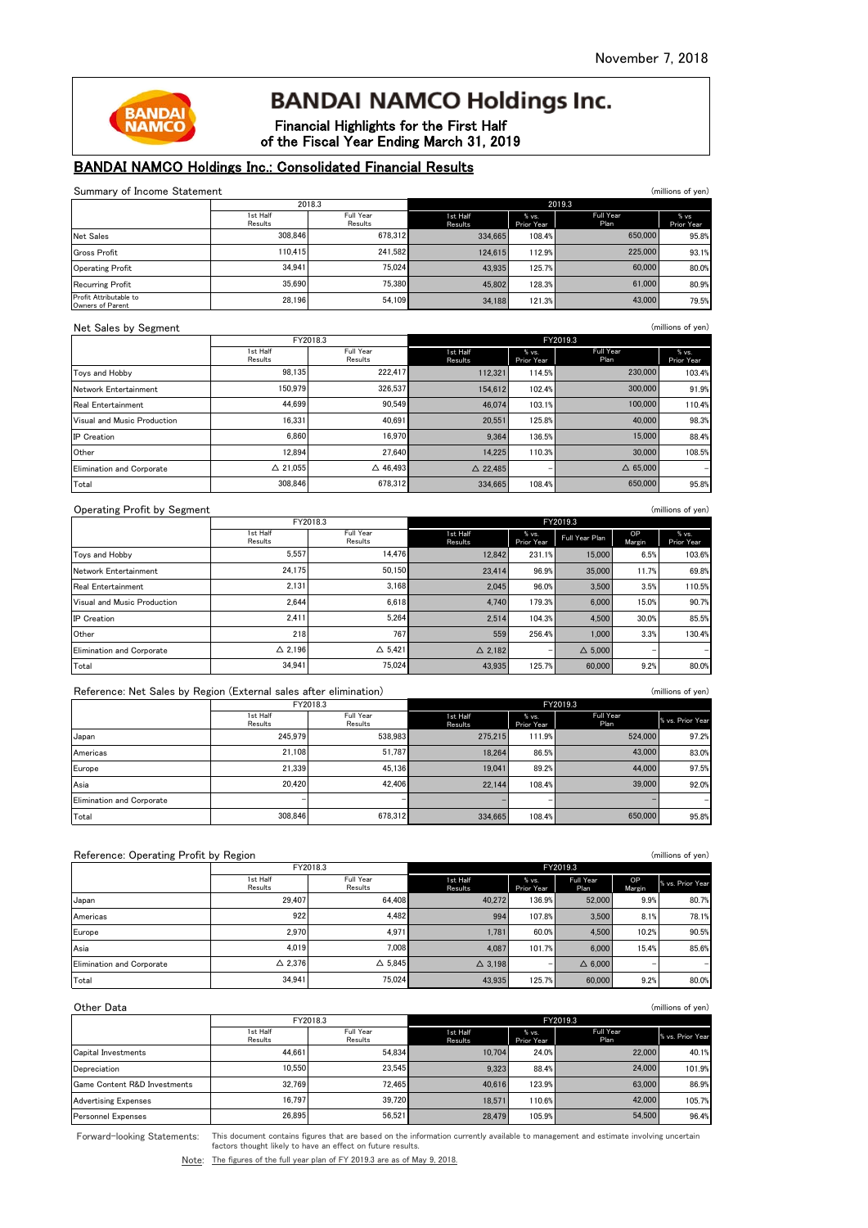# **BANDAI NAMCO Holdings Inc.**

Financial Highlights for the First Half of the Fiscal Year Ending March 31, 2019

# BANDAI NAMCO Holdings Inc.: Consolidated Financial Results

| Summary of Income Statement                                       |                     | 2018.3                | 2019.3              |                      |                       | (millions of yen)  |                     |
|-------------------------------------------------------------------|---------------------|-----------------------|---------------------|----------------------|-----------------------|--------------------|---------------------|
|                                                                   | 1st Half            | Full Year             | 1st Half            | % vs.<br>Prior Year  | Full Year             |                    | % vs                |
| Net Sales                                                         | Results<br>308,846  | Results<br>678,312    | Results<br>334,665  | 108.4%               | Plan                  | 650,000            | Prior Year<br>95.8% |
| <b>Gross Profit</b>                                               | 110,415             | 241,582               | 124,615             | 112.9%               |                       | 225,000            | 93.1%               |
| <b>Operating Profit</b>                                           | 34,941              | 75,024                | 43,935              | 125.7%               |                       | 60,000             | 80.0%               |
| <b>Recurring Profit</b>                                           | 35,690              | 75,380                | 45,802              | 128.3%               |                       | 61,000             | 80.9%               |
| Profit Attributable to                                            | 28,196              | 54,109                | 34,188              | 121.3%               |                       | 43,000             | 79.5%               |
| Owners of Parent                                                  |                     |                       |                     |                      |                       |                    |                     |
| Net Sales by Segment                                              |                     |                       |                     |                      |                       |                    | (millions of yen)   |
|                                                                   | 1st Half            | FY2018.3<br>Full Year | 1st Half            | % vs.                | FY2019.3<br>Full Year |                    | % vs.               |
|                                                                   | Results             | Results               | Results             | Prior Year           | Plan                  |                    | Prior Year          |
| Toys and Hobby                                                    | 98,135              | 222,417               | 112,321             | 114.5%               |                       | 230,000            | 103.4%              |
| Network Entertainment                                             | 150.979             | 326,537               | 154.612             | 102.4%               |                       | 300,000            | 91.9%               |
| Real Entertainment                                                | 44,699              | 90,549                | 46,074              | 103.1%               |                       | 100,000            | 110.4%              |
| Visual and Music Production                                       | 16,331              | 40,691                | 20,551              | 125.8%               |                       | 40,000             | 98.3%               |
| <b>IP</b> Creation                                                | 6,860               | 16,970                | 9,364               | 136.5%               |                       | 15,000             | 88.4%               |
| Other                                                             | 12,894              | 27,640                | 14,225              | 110.3%               |                       | 30,000             | 108.5%              |
| <b>Elimination and Corporate</b>                                  | △ 21,055            | $\Delta$ 46,493       | $\triangle$ 22,485  |                      |                       | $\triangle$ 65,000 |                     |
| Total                                                             | 308,846             | 678.312               | 334,665             | 108.4%               |                       | 650,000            | 95.8%               |
| <b>Operating Profit by Segment</b>                                |                     |                       |                     |                      |                       |                    | (millions of yen)   |
|                                                                   |                     | FY2018.3              |                     |                      | FY2019.3              |                    |                     |
|                                                                   | 1st Half<br>Results | Full Year<br>Results  | 1st Half<br>Results | % vs.<br>Prior Year  | Full Year Plan        | OP<br>Margin       | % vs.<br>Prior Year |
| Toys and Hobby                                                    | 5,557               | 14,476                | 12,842              | 231.1%               | 15,000                | 6.5%               | 103.6%              |
| Network Entertainment                                             | 24,175              | 50,150                | 23,414              | 96.9%                | 35,000                | 11.7%              | 69.8%               |
| <b>Real Entertainment</b>                                         | 2,131               | 3,168                 | 2,045               | 96.0%                | 3,500                 | 3.5%               | 110.5%              |
| Visual and Music Production                                       | 2,644               | 6,618                 | 4,740               | 179.3%               | 6,000                 | 15.0%              | 90.7%               |
| <b>IP</b> Creation                                                | 2,411               | 5,264                 | 2,514               | 104.3%               | 4,500                 | 30.0%              | 85.5%               |
| Other                                                             | 218                 | 767                   | 559                 | 256.4%               | 1,000                 | 3.3%               | 130.4%              |
| <b>Elimination and Corporate</b>                                  | △ 2,196             | $\triangle$ 5,421     | $\triangle$ 2.182   |                      | $\Delta$ 5,000        |                    |                     |
| Total                                                             | 34,941              | 75,024                | 43,935              | 125.7%               | 60,000                | 9.2%               | 80.0%               |
| Reference: Net Sales by Region (External sales after elimination) |                     |                       |                     |                      |                       |                    | (millions of yen)   |
|                                                                   |                     | FY2018.3              |                     |                      | FY2019.3              |                    |                     |
|                                                                   | 1st Half<br>Results | Full Year<br>Results  | 1st Half<br>Results | % vs.<br>Prior Year  | Full Year<br>Plan     |                    | % vs. Prior Year    |
| Japan                                                             | 245,979             | 538,983               | 275,215             | 111.9%               |                       | 524,000            | 97.2%               |
| Americas                                                          | 21,108              | 51,787                | 18,264              | 86.5%                |                       | 43,000             | 83.0%               |
| Europe                                                            | 21,339              | 45,136                | 19,041              | 89.2%                |                       | 44,000             | 97.5%               |
| Asia                                                              | 20,420              | 42,406                | 22,144              | 108.4%               |                       | 39,000             | 92.0%               |
| <b>Elimination and Corporate</b>                                  |                     |                       |                     |                      |                       |                    |                     |
| Total                                                             | 308.846             | 678,312               | 334,665             | 108.4%               |                       | 650,000            | 95.8%               |
|                                                                   |                     |                       |                     |                      |                       |                    |                     |
|                                                                   |                     |                       |                     |                      |                       |                    |                     |
| Reference: Operating Profit by Region                             |                     | FY2018.3              |                     |                      | FY2019.3              |                    | (millions of yen)   |
|                                                                   | 1st Half            | Full Year             | 1st Half            | % vs.                | Full Year             | OP                 | % vs. Prior Year    |
| Japan                                                             | Results<br>29,407   | Results<br>64,408     | Results<br>40,272   | Prior Year<br>136.9% | Plan<br>52,000        | Margin<br>9.9%     | 80.7%               |
| Americas                                                          | 922                 | 4,482                 | 994                 | 107.8%               | 3,500                 | 8.1%               | 78.1%               |
| Europe                                                            | 2,970               | 4,971                 | 1,781               | 60.0%                | 4,500                 | 10.2%              | 90.5%               |
| Asia                                                              | 4,019               | 7,008                 | 4,087               | 101.7%               | 6,000                 | 15.4%              | 85.6%               |
| <b>Elimination and Corporate</b>                                  | $\Delta$ 2,376      | $\Delta$ 5,845        | $\Delta$ 3,198      |                      | $\Delta$ 6,000        |                    |                     |
| Total                                                             | 34,941              | 75,024                | 43,935              | 125.7%               | 60,000                | 9.2%               | 80.0%               |
|                                                                   |                     |                       |                     |                      |                       |                    |                     |
| Other Data                                                        |                     |                       |                     |                      |                       |                    | (millions of yen)   |
|                                                                   |                     | FY2018.3              |                     |                      | FY2019.3              |                    |                     |
|                                                                   | 1st Half<br>Results | Full Year<br>Results  | 1st Half<br>Results | % vs.<br>Prior Year  | Full Year<br>Plan     |                    | % vs. Prior Year    |
| Capital Investments                                               | 44,661              | 54,834                | 10,704              | 24.0%                |                       | 22,000             | 40.1%               |
| Depreciation                                                      | 10,550              | 23,545                | 9,323               | 88.4%                |                       | 24,000             | 101.9%              |

Forward-looking Statements:

This document contains figures that are based on the information currently available to management and estimate involving uncertain factors thought likely to have an effect on future results.

Game Content R&D Investments | 32,769 12,465 123.9% 40,616 123.9% 86.99 123.9% 86.99 Advertising Expenses 16,797 39,720 18,571 110.6% 42,000 105.7% Personnel Expenses 26,479 105.9% 28,479 105.9% 54,500 96.4%

72,465

39,720 56,521

Note: The figures of the full year plan of FY 2019.3 are as of May 9, 2018.

26,895

32,769 16,797

42,000 54,500

63,000

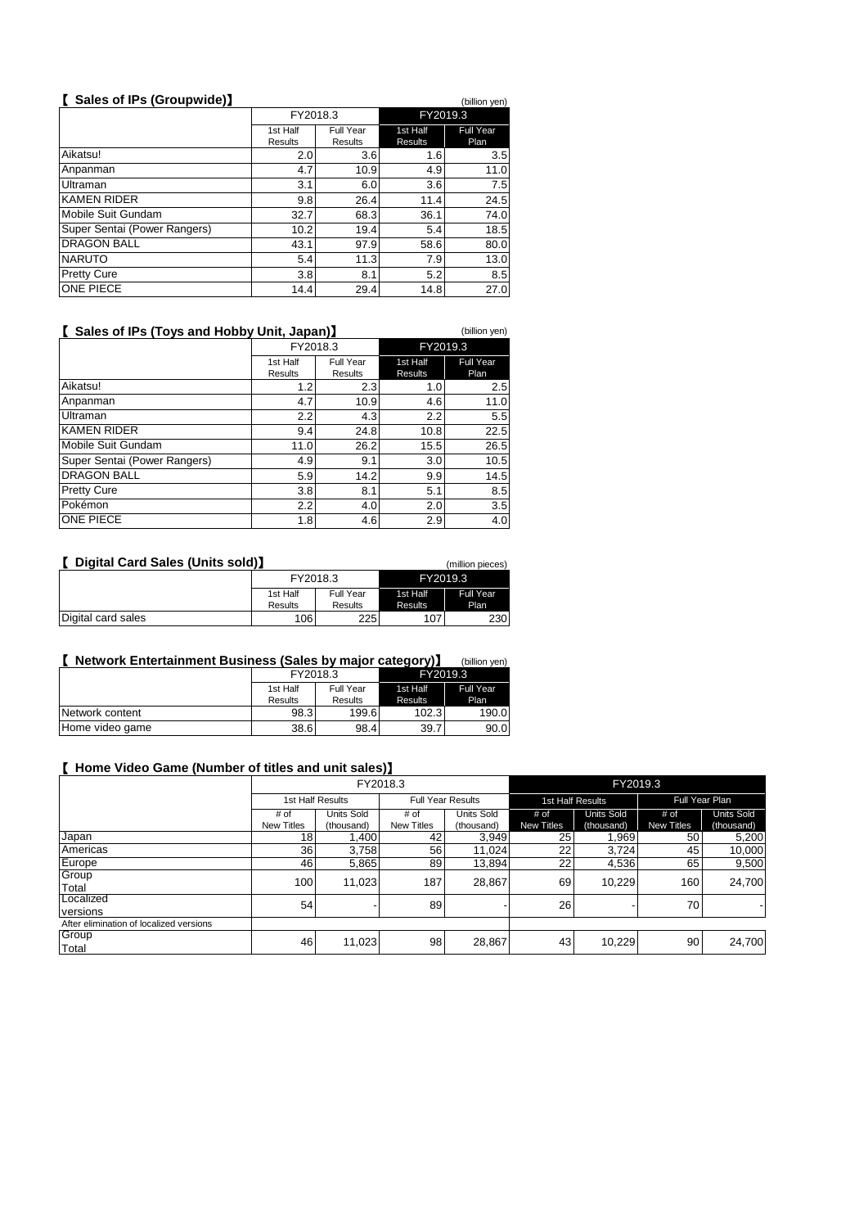# 【 **Sales of IPs (Groupwide)**】 (billion yen)

|                              | FY2018.3            |                      | FY2019.3                   |                          |
|------------------------------|---------------------|----------------------|----------------------------|--------------------------|
|                              | 1st Half<br>Results | Full Year<br>Results | 1st Half<br><b>Results</b> | <b>Full Year</b><br>Plan |
| Aikatsu!                     | 2.0                 | 3.6                  | 1.6                        | 3.5                      |
| Anpanman                     | 4.7                 | 10.9                 | 4.9                        | 11.0                     |
| Ultraman                     | 3.1                 | 6.0                  | 3.6                        | 7.5                      |
| <b>KAMEN RIDER</b>           | 9.8                 | 26.4                 | 11.4                       | 24.5                     |
| Mobile Suit Gundam           | 32.7                | 68.3                 | 36.1                       | 74.0                     |
| Super Sentai (Power Rangers) | 10.2                | 19.4                 | 5.4                        | 18.5                     |
| <b>DRAGON BALL</b>           | 43.1                | 97.9                 | 58.6                       | 80.0                     |
| <b>NARUTO</b>                | 5.4                 | 11.3                 | 7.9                        | 13.0                     |
| <b>Pretty Cure</b>           | 3.8                 | 8.1                  | 5.2                        | 8.5                      |
| ONE PIECE                    | 14.4                | 29.4                 | 14.8                       | 27.0                     |

### 【 **Sales of IPs (Toys and Hobby Unit, Japan)**】 (billion yen)

1st Half Results Full Year Results 1st Half Results Full Year Plan 1.2 2.3 1.0 2.5 4.7 10.9 4.6 11.0 2.2 4.3 2.2 5.5 9.4 24.8 10.8 22.5 11.0 26.2 15.5 26.5 4.9 9.1 3.0 10.5<br>5.9 14.2 9.9 14.5  $\begin{array}{|c|c|}\n 14.2 & 9.9 \\
\hline\n 8.1 & 5.1\n \end{array}$ 3.8 8.1 5.1 8.5 2.2 4.0 2.0 3.5 1.8 4.6 2.9 4.0 Ultraman Pokémon FY2018.3 Mobile Suit Gundam KAMEN RIDER DRAGON BALL ONE PIECE Super Sentai (Power Rangers) Anpanman **Pretty Cure** Aikatsu! FY2019.3

| Digital Card Sales (Units sold)<br>(million pieces) |          |           |          |                  |  |
|-----------------------------------------------------|----------|-----------|----------|------------------|--|
|                                                     | FY2018.3 |           | FY2019.3 |                  |  |
|                                                     | 1st Half | Full Year | 1st Half | <b>Full Year</b> |  |
|                                                     | Results  | Results   | Results  | Plan             |  |
| Digital card sales                                  | 106      | 225       | 107      | 230              |  |

# 【 **Network Entertainment Business (Sales by major category)**】 (billion yen)

|                 | FY2018.3<br>1st Half<br>Full Year |         | FY2019.3 |                  |
|-----------------|-----------------------------------|---------|----------|------------------|
|                 |                                   |         | 1st Half | <b>Full Year</b> |
|                 | <b>Results</b>                    | Results | Results  | Plan             |
| Network content | 98.3                              | 199.6   | 102.3    | 190.0            |
| Home video game | 38.6                              | 98.4    | 39.7     | 90.0             |

#### 【 **Home Video Game (Number of titles and unit sales)**】

|                                         | FY2018.3          |                   |                   |                          | FY2019.3   |                   |            |                   |  |
|-----------------------------------------|-------------------|-------------------|-------------------|--------------------------|------------|-------------------|------------|-------------------|--|
|                                         |                   | 1st Half Results  |                   | <b>Full Year Results</b> |            | 1st Half Results  |            | Full Year Plan    |  |
|                                         | # of              | <b>Units Sold</b> | # of              | Units Sold               | # of       | <b>Units Sold</b> | # of       | <b>Units Sold</b> |  |
|                                         | <b>New Titles</b> | (thousand)        | <b>New Titles</b> | (thousand)               | New Titles | (thousand)        | New Titles | (thousand)        |  |
| Japan                                   | 18 <sub>1</sub>   | 1,400             | 42                | 3,949                    | 25         | 1,969             | 50         | 5,200             |  |
| Americas                                | 36 <sub>1</sub>   | 3.758             | 56                | 11,024                   | 22         | 3.724             | 45         | 10,000            |  |
| Europe                                  | 46                | 5,865             | 89                | 13,894                   | 22         | 4,536             | 65         | 9,500             |  |
| Group                                   | 100               | 11,023            | 187               | 28,867                   | 69         | 10,229            | 160        | 24,700            |  |
| Total                                   |                   |                   |                   |                          |            |                   |            |                   |  |
| Localized                               | 54                |                   | 89                |                          | 26         |                   | 70         |                   |  |
| versions                                |                   |                   |                   |                          |            |                   |            |                   |  |
| After elimination of localized versions |                   |                   |                   |                          |            |                   |            |                   |  |
| Group                                   | 46                | 11,023            | 98                | 28,867                   | 43         | 10,229            | 90         | 24,700            |  |
| Total                                   |                   |                   |                   |                          |            |                   |            |                   |  |